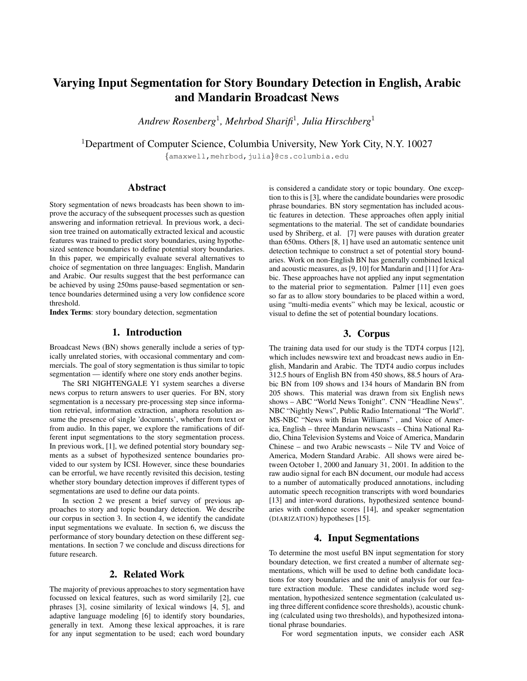# Varying Input Segmentation for Story Boundary Detection in English, Arabic and Mandarin Broadcast News

*Andrew Rosenberg*<sup>1</sup> *, Mehrbod Sharifi*<sup>1</sup> *, Julia Hirschberg*<sup>1</sup>

<sup>1</sup>Department of Computer Science, Columbia University, New York City, N.Y. 10027

{amaxwell,mehrbod,julia}@cs.columbia.edu

### Abstract

Story segmentation of news broadcasts has been shown to improve the accuracy of the subsequent processes such as question answering and information retrieval. In previous work, a decision tree trained on automatically extracted lexical and acoustic features was trained to predict story boundaries, using hypothesized sentence boundaries to define potential story boundaries. In this paper, we empirically evaluate several alternatives to choice of segmentation on three languages: English, Mandarin and Arabic. Our results suggest that the best performance can be achieved by using 250ms pause-based segmentation or sentence boundaries determined using a very low confidence score threshold.

Index Terms: story boundary detection, segmentation

# 1. Introduction

Broadcast News (BN) shows generally include a series of typically unrelated stories, with occasional commentary and commercials. The goal of story segmentation is thus similar to topic segmentation — identify where one story ends another begins.

The SRI NIGHTENGALE Y1 system searches a diverse news corpus to return answers to user queries. For BN, story segmentation is a necessary pre-processing step since information retrieval, information extraction, anaphora resolution assume the presence of single 'documents', whether from text or from audio. In this paper, we explore the ramifications of different input segmentations to the story segmentation process. In previous work, [1], we defined potential story boundary segments as a subset of hypothesized sentence boundaries provided to our system by ICSI. However, since these boundaries can be errorful, we have recently revisited this decision, testing whether story boundary detection improves if different types of segmentations are used to define our data points.

In section 2 we present a brief survey of previous approaches to story and topic boundary detection. We describe our corpus in section 3. In section 4, we identify the candidate input segmentations we evaluate. In section 6, we discuss the performance of story boundary detection on these different segmentations. In section 7 we conclude and discuss directions for future research.

### 2. Related Work

The majority of previous approaches to story segmentation have focussed on lexical features, such as word similarily [2], cue phrases [3], cosine similarity of lexical windows [4, 5], and adaptive language modeling [6] to identify story boundaries, generally in text. Among these lexical approaches, it is rare for any input segmentation to be used; each word boundary is considered a candidate story or topic boundary. One exception to this is [3], where the candidate boundaries were prosodic phrase boundaries. BN story segmentation has included acoustic features in detection. These approaches often apply initial segmentations to the material. The set of candidate boundaries used by Shriberg, et al. [7] were pauses with duration greater than 650ms. Others [8, 1] have used an automatic sentence unit detection technique to construct a set of potential story boundaries. Work on non-English BN has generally combined lexical and acoustic measures, as [9, 10] for Mandarin and [11] for Arabic. These approaches have not applied any input segmentation to the material prior to segmentation. Palmer [11] even goes so far as to allow story boundaries to be placed within a word, using "multi-media events" which may be lexical, acoustic or visual to define the set of potential boundary locations.

### 3. Corpus

The training data used for our study is the TDT4 corpus [12], which includes newswire text and broadcast news audio in English, Mandarin and Arabic. The TDT4 audio corpus includes 312.5 hours of English BN from 450 shows, 88.5 hours of Arabic BN from 109 shows and 134 hours of Mandarin BN from 205 shows. This material was drawn from six English news shows – ABC "World News Tonight". CNN "Headline News". NBC "Nightly News", Public Radio International "The World". MS-NBC "News with Brian Williams" , and Voice of America, English – three Mandarin newscasts – China National Radio, China Television Systems and Voice of America, Mandarin Chinese – and two Arabic newscasts – Nile TV and Voice of America, Modern Standard Arabic. All shows were aired between October 1, 2000 and January 31, 2001. In addition to the raw audio signal for each BN document, our module had access to a number of automatically produced annotations, including automatic speech recognition transcripts with word boundaries [13] and inter-word durations, hypothesized sentence boundaries with confidence scores [14], and speaker segmentation (DIARIZATION) hypotheses [15].

## 4. Input Segmentations

To determine the most useful BN input segmentation for story boundary detection, we first created a number of alternate segmentations, which will be used to define both candidate locations for story boundaries and the unit of analysis for our feature extraction module. These candidates include word segmentation, hypothesized sentence segmentation (calculated using three different confidence score thresholds), acoustic chunking (calculated using two thresholds), and hypothesized intonational phrase boundaries.

For word segmentation inputs, we consider each ASR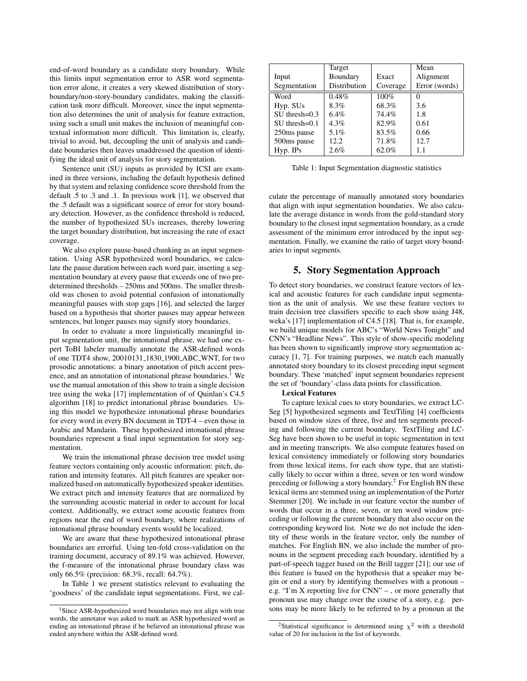end-of-word boundary as a candidate story boundary. While this limits input segmentation error to ASR word segmentation error alone, it creates a very skewed distribution of storyboundary/non-story-boundary candidates, making the classification task more difficult. Moreover, since the input segmentation also determines the unit of analysis for feature extraction, using such a small unit makes the inclusion of meaningful contextual information more difficult. This limitation is, clearly, trivial to avoid, but, decoupling the unit of analysis and candidate boundaries then leaves unaddressed the question of identifying the ideal unit of analysis for story segmentation.

Sentence unit (SU) inputs as provided by ICSI are examined in three versions, including the default hypothesis defined by that system and relaxing confidence score threshold from the default .5 to .3 and .1. In previous work [1], we observed that the .5 default was a significant source of error for story boundary detection. However, as the confidence threshold is reduced, the number of hypothesized SUs increases, thereby lowering the target boundary distribution, but increasing the rate of exact coverage.

We also explore pause-based chunking as an input segmentation. Using ASR hypothesized word boundaries, we calculate the pause duration between each word pair, inserting a segmentation boundary at every pause that exceeds one of two predetermined thresholds – 250ms and 500ms. The smaller threshold was chosen to avoid potential confusion of intonationally meaningful pauses with stop gaps [16], and selected the larger based on a hypothesis that shorter pauses may appear between sentences, but longer pauses may signify story boundaries.

In order to evaluate a more linguistically meaningful input segmentation unit, the intonational phrase, we had one expert ToBI labeler manually annotate the ASR-defined words of one TDT4 show, 20010131 1830 1900 ABC WNT, for two prosodic annotations: a binary annotation of pitch accent presence, and an annotation of intonational phrase boundaries.<sup>1</sup> We use the manual annotation of this show to train a single decision tree using the weka [17] implementation of of Quinlan's C4.5 algorithm [18] to predict intonational phrase boundaries. Using this model we hypothesize intonational phrase boundaries for every word in every BN document in TDT-4 – even those in Arabic and Mandarin. These hypothesized intonational phrase boundaries represent a final input segmentation for story segmentation.

We train the intonational phrase decision tree model using feature vectors containing only acoustic information: pitch, duration and intensity features. All pitch features are speaker normalized based on automatically hypothesized speaker identities. We extract pitch and intensity features that are normalized by the surrounding acoustic material in order to account for local context. Additionally, we extract some acoustic features from regions near the end of word boundary, where realizations of intonational phrase boundary events would be localized.

We are aware that these hypothesized intonational phrase boundaries are errorful. Using ten-fold cross-validation on the training document, accuracy of 89.1% was achieved. However, the f-measure of the intonational phrase boundary class was only 66.5% (precision: 68.3%, recall: 64.7%).

In Table 1 we present statistics relevant to evaluating the 'goodness' of the candidate input segmentations. First, we cal-

|                    | Target       |          | Mean          |
|--------------------|--------------|----------|---------------|
| Input              | Boundary     | Exact    | Alignment     |
| Segmentation       | Distribution | Coverage | Error (words) |
| Word               | 0.48%        | 100%     |               |
| Hyp. SUs           | 8.3%         | 68.3%    | 3.6           |
| $SU$ thresh= $0.3$ | 6.4%         | 74.4%    | 1.8           |
| $SU$ thresh= $0.1$ | $4.3\%$      | 82.9%    | 0.61          |
| 250ms pause        | 5.1%         | 83.5%    | 0.66          |
| 500ms pause        | 12.2         | 71.8%    | 12.7          |
| $Hyp.$ IPs         | 2.6%         | 62.0%    | 1.1           |

Table 1: Input Segmentation diagnostic statistics

culate the percentage of manually annotated story boundaries that align with input segmentation boundaries. We also calculate the average distance in words from the gold-standard story boundary to the closest input segmentation boundary, as a crude assessment of the minimum error introduced by the input segmentation. Finally, we examine the ratio of target story boundaries to input segments.

## 5. Story Segmentation Approach

To detect story boundaries, we construct feature vectors of lexical and acoustic features for each candidate input segmentation as the unit of analysis. We use these feature vectors to train decision tree classifiers specific to each show using J48, weka's [17] implementation of C4.5 [18]. That is, for example, we build unique models for ABC's "World News Tonight" and CNN's "Headline News". This style of show-specific modeling has been shown to significantly improve story segmentation accuracy [1, 7]. For training purposes, we match each manually annotated story boundary to its closest preceding input segment boundary. These 'matched' input segment boundaries represent the set of 'boundary'-class data points for classification.

#### Lexical Features

To capture lexical cues to story boundaries, we extract LC-Seg [5] hypothesized segments and TextTiling [4] coefficients based on window sizes of three, five and ten segments preceding and following the current boundary. TextTiling and LC-Seg have been shown to be useful in topic segmentation in text and in meeting transcripts. We also compute features based on lexical consistency immediately or following story boundaries from those lexical items, for each show type, that are statistically likely to occur within a three, seven or ten word window preceding or following a story boundary.<sup>2</sup> For English BN these lexical items are stemmed using an implementation of the Porter Stemmer [20]. We include in our feature vector the number of words that occur in a three, seven, or ten word window preceding or following the current boundary that also occur on the corresponding keyword list. Note we do not include the identity of these words in the feature vector, only the number of matches. For English BN, we also include the number of pronouns in the segment preceding each boundary, identified by a part-of-speech tagger based on the Brill tagger [21]; our use of this feature is based on the hypothesis that a speaker may begin or end a story by identifying themselves with a pronoun – e.g. "I'm X reporting live for CNN" – , or more generally that pronoun use may change over the course of a story, e.g. persons may be more likely to be referred to by a pronoun at the

<sup>&</sup>lt;sup>1</sup>Since ASR-hypothesized word boundaries may not align with true words, the annotator was asked to mark an ASR hypothesized word as ending an intonational phrase if he believed an intonational phrase was ended anywhere within the ASR-defined word.

<sup>&</sup>lt;sup>2</sup>Statistical significance is determined using  $\chi^2$  with a threshold value of 20 for inclusion in the list of keywords.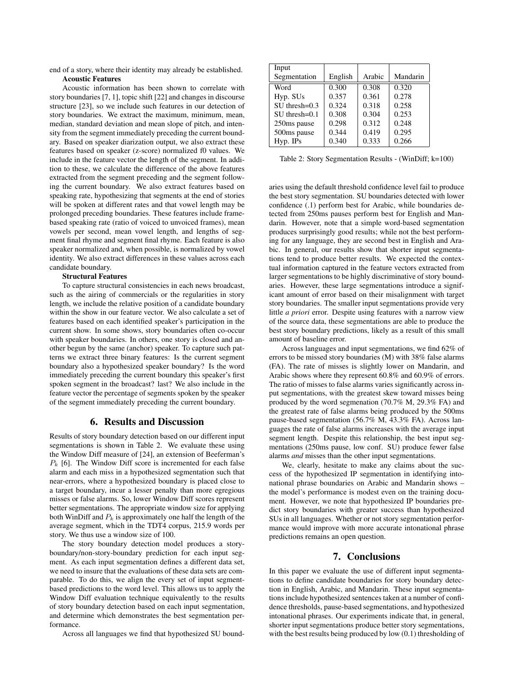end of a story, where their identity may already be established. Acoustic Features

Acoustic information has been shown to correlate with story boundaries [7, 1], topic shift [22] and changes in discourse structure [23], so we include such features in our detection of story boundaries. We extract the maximum, minimum, mean, median, standard deviation and mean slope of pitch, and intensity from the segment immediately preceding the current boundary. Based on speaker diarization output, we also extract these features based on speaker (z-score) normalized f0 values. We include in the feature vector the length of the segment. In addition to these, we calculate the difference of the above features extracted from the segment preceding and the segment following the current boundary. We also extract features based on speaking rate, hypothesizing that segments at the end of stories will be spoken at different rates and that vowel length may be prolonged preceding boundaries. These features include framebased speaking rate (ratio of voiced to unvoiced frames), mean vowels per second, mean vowel length, and lengths of segment final rhyme and segment final rhyme. Each feature is also speaker normalized and, when possible, is normalized by vowel identity. We also extract differences in these values across each candidate boundary.

### Structural Features

To capture structural consistencies in each news broadcast, such as the airing of commercials or the regularities in story length, we include the relative position of a candidate boundary within the show in our feature vector. We also calculate a set of features based on each identified speaker's participation in the current show. In some shows, story boundaries often co-occur with speaker boundaries. In others, one story is closed and another begun by the same (anchor) speaker. To capture such patterns we extract three binary features: Is the current segment boundary also a hypothesized speaker boundary? Is the word immediately preceding the current boundary this speaker's first spoken segment in the broadcast? last? We also include in the feature vector the percentage of segments spoken by the speaker of the segment immediately preceding the current boundary.

### 6. Results and Discussion

Results of story boundary detection based on our different input segmentations is shown in Table 2. We evaluate these using the Window Diff measure of [24], an extension of Beeferman's  $P_k$  [6]. The Window Diff score is incremented for each false alarm and each miss in a hypothesized segmentation such that near-errors, where a hypothesized boundary is placed close to a target boundary, incur a lesser penalty than more egregious misses or false alarms. So, lower Window Diff scores represent better segmentations. The appropriate window size for applying both WinDiff and  $P_k$  is approximately one half the length of the average segment, which in the TDT4 corpus, 215.9 words per story. We thus use a window size of 100.

The story boundary detection model produces a storyboundary/non-story-boundary prediction for each input segment. As each input segmentation defines a different data set, we need to insure that the evaluations of these data sets are comparable. To do this, we align the every set of input segmentbased predictions to the word level. This allows us to apply the Window Diff evaluation technique equivalently to the results of story boundary detection based on each input segmentation, and determine which demonstrates the best segmentation performance.

Across all languages we find that hypothesized SU bound-

| Input              |         |        |          |
|--------------------|---------|--------|----------|
| Segmentation       | English | Arabic | Mandarin |
| Word               | 0.300   | 0.308  | 0.320    |
| Hyp. SUs           | 0.357   | 0.361  | 0.278    |
| $SU$ thresh= $0.3$ | 0.324   | 0.318  | 0.258    |
| $SU$ thresh=0.1    | 0.308   | 0.304  | 0.253    |
| 250ms pause        | 0.298   | 0.312  | 0.248    |
| 500ms pause        | 0.344   | 0.419  | 0.295    |
| $Hyp.$ IPs         | 0.340   | 0.333  | 0.266    |

Table 2: Story Segmentation Results - (WinDiff; k=100)

aries using the default threshold confidence level fail to produce the best story segmentation. SU boundaries detected with lower confidence (.1) perform best for Arabic, while boundaries detected from 250ms pauses perform best for English and Mandarin. However, note that a simple word-based segmentation produces surprisingly good results; while not the best performing for any language, they are second best in English and Arabic. In general, our results show that shorter input segmentations tend to produce better results. We expected the contextual information captured in the feature vectors extracted from larger segmentations to be highly discriminative of story boundaries. However, these large segmentations introduce a significant amount of error based on their misalignment with target story boundaries. The smaller input segmentations provide very little *a priori* error. Despite using features with a narrow view of the source data, these segmentations are able to produce the best story boundary predictions, likely as a result of this small amount of baseline error.

Across languages and input segmentations, we find 62% of errors to be missed story boundaries (M) with 38% false alarms (FA). The rate of misses is slightly lower on Mandarin, and Arabic shows where they represent 60.8% and 60.9% of errors. The ratio of misses to false alarms varies significantly across input segmentations, with the greatest skew toward misses being produced by the word segmenation (70.7% M, 29.3% FA) and the greatest rate of false alarms being produced by the 500ms pause-based segmentation (56.7% M, 43.3% FA). Across languages the rate of false alarms increases with the average input segment length. Despite this relationship, the best input segmentations (250ms pause, low conf. SU) produce fewer false alarms *and* misses than the other input segmentations.

We, clearly, hesitate to make any claims about the success of the hypothesized IP segmentation in identifying intonational phrase boundaries on Arabic and Mandarin shows – the model's performance is modest even on the training document. However, we note that hypothesized IP boundaries predict story boundaries with greater success than hypothesized SUs in all languages. Whether or not story segmentation performance would improve with more accurate intonational phrase predictions remains an open question.

#### 7. Conclusions

In this paper we evaluate the use of different input segmentations to define candidate boundaries for story boundary detection in English, Arabic, and Mandarin. These input segmentations include hypothesized sentences taken at a number of confidence thresholds, pause-based segmentations, and hypothesized intonational phrases. Our experiments indicate that, in general, shorter input segmentations produce better story segmentations, with the best results being produced by low (0.1) thresholding of